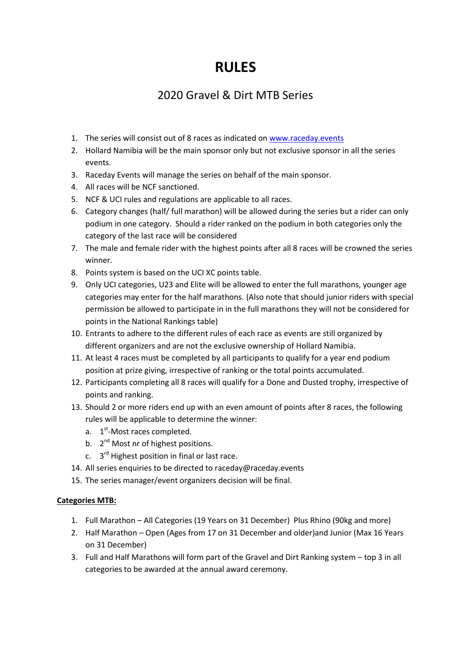## **RULES**

## 2020 Gravel & Dirt MTB Series

- 1. The series will consist out of 8 races as indicated o[n www.raceday.events](http://www.raceday.events/)
- 2. Hollard Namibia will be the main sponsor only but not exclusive sponsor in all the series events.
- 3. Raceday Events will manage the series on behalf of the main sponsor.
- 4. All races will be NCF sanctioned.
- 5. NCF & UCI rules and regulations are applicable to all races.
- 6. Category changes (half/ full marathon) will be allowed during the series but a rider can only podium in one category. Should a rider ranked on the podium in both categories only the category of the last race will be considered
- 7. The male and female rider with the highest points after all 8 races will be crowned the series winner.
- 8. Points system is based on the UCI XC points table.
- 9. Only UCI categories, U23 and Elite will be allowed to enter the full marathons, younger age categories may enter for the half marathons. (Also note that should junior riders with special permission be allowed to participate in in the full marathons they will not be considered for points in the National Rankings table)
- 10. Entrants to adhere to the different rules of each race as events are still organized by different organizers and are not the exclusive ownership of Hollard Namibia.
- 11. At least 4 races must be completed by all participants to qualify for a year end podium position at prize giving, irrespective of ranking or the total points accumulated.
- 12. Participants completing all 8 races will qualify for a Done and Dusted trophy, irrespective of points and ranking.
- 13. Should 2 or more riders end up with an even amount of points after 8 races, the following rules will be applicable to determine the winner:
	- a. 1<sup>st</sup>-Most races completed.
	- b. 2<sup>nd</sup> Most nr of highest positions.
	- c. 3<sup>rd</sup> Highest position in final or last race.
- 14. All series enquiries to be directed to raceday@raceday.events
- 15. The series manager/event organizers decision will be final.

## **Categories MTB:**

- 1. Full Marathon All Categories (19 Years on 31 December) Plus Rhino (90kg and more)
- 2. Half Marathon Open (Ages from 17 on 31 December and older)and Junior (Max 16 Years on 31 December)
- 3. Full and Half Marathons will form part of the Gravel and Dirt Ranking system top 3 in all categories to be awarded at the annual award ceremony.